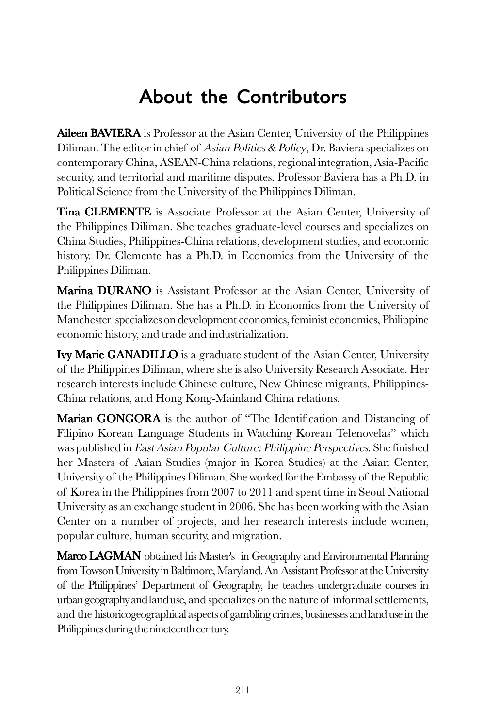## About the Contributors

**Aileen BAVIERA** is Professor at the Asian Center, University of the Philippines Diliman. The editor in chief of Asian Politics & Policy, Dr. Baviera specializes on contemporary China, ASEAN-China relations, regional integration, Asia-Pacific security, and territorial and maritime disputes. Professor Baviera has a Ph.D. in Political Science from the University of the Philippines Diliman.

Tina CLEMENTE is Associate Professor at the Asian Center, University of the Philippines Diliman. She teaches graduate-level courses and specializes on China Studies, Philippines-China relations, development studies, and economic history. Dr. Clemente has a Ph.D. in Economics from the University of the Philippines Diliman.

Marina DURANO is Assistant Professor at the Asian Center, University of the Philippines Diliman. She has a Ph.D. in Economics from the University of Manchester specializes on development economics, feminist economics, Philippine economic history, and trade and industrialization.

**Ivy Marie GANADILLO** is a graduate student of the Asian Center, University of the Philippines Diliman, where she is also University Research Associate. Her research interests include Chinese culture, New Chinese migrants, Philippines-China relations, and Hong Kong-Mainland China relations.

Marian GONGORA is the author of "The Identification and Distancing of Filipino Korean Language Students in Watching Korean Telenovelas" which was published in East Asian Popular Culture: Philippine Perspectives. She finished her Masters of Asian Studies (major in Korea Studies) at the Asian Center, University of the Philippines Diliman. She worked for the Embassy of the Republic of Korea in the Philippines from 2007 to 2011 and spent time in Seoul National University as an exchange student in 2006. She has been working with the Asian Center on a number of projects, and her research interests include women, popular culture, human security, and migration.

**Marco LAGMAN** obtained his Master's in Geography and Environmental Planning from Towson University in Baltimore, Maryland. An Assistant Professor at the University of the Philippines' Department of Geography, he teaches undergraduate courses in urban geography and land use, and specializes on the nature of informal settlements, and the historicogeographical aspects of gambling crimes, businesses and land use in the Philippines during the nineteenth century.